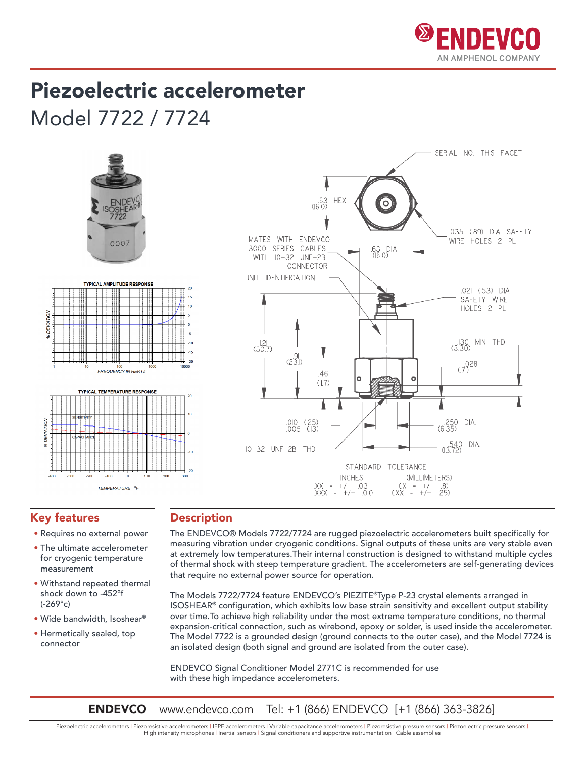

## Piezoelectric accelerometer

Model 7722 / 7724





### Key features

- Requires no external power
- The ultimate accelerometer for cryogenic temperature measurement
- Withstand repeated thermal shock down to -452°f (-269°c)
- Wide bandwidth, Isoshear®
- Hermetically sealed, top connector

#### Description

The ENDEVCO® Models 7722/7724 are rugged piezoelectric accelerometers built specifically for measuring vibration under cryogenic conditions. Signal outputs of these units are very stable even at extremely low temperatures.Their internal construction is designed to withstand multiple cycles of thermal shock with steep temperature gradient. The accelerometers are self-generating devices that require no external power source for operation.

The Models 7722/7724 feature ENDEVCO's PIEZITE®Type P-23 crystal elements arranged in ISOSHEAR® configuration, which exhibits low base strain sensitivity and excellent output stability over time.To achieve high reliability under the most extreme temperature conditions, no thermal expansion-critical connection, such as wirebond, epoxy or solder, is used inside the accelerometer. The Model 7722 is a grounded design (ground connects to the outer case), and the Model 7724 is an isolated design (both signal and ground are isolated from the outer case).

ENDEVCO Signal Conditioner Model 2771C is recommended for use with these high impedance accelerometers.

**ENDEVCO** www.endevco.com Tel: +1 (866) ENDEVCO [+1 (866) 363-3826]

Piezoelectric accelerometers | Piezoresistive accelerometers | IEPE accelerometers | Variable capacitance accelerometers | Piezoresistive pressure sensors | Piezoelectric pressure sensors | High intensity microphones | Inertial sensors | Signal conditioners and supportive instrumentation | Cable assemblies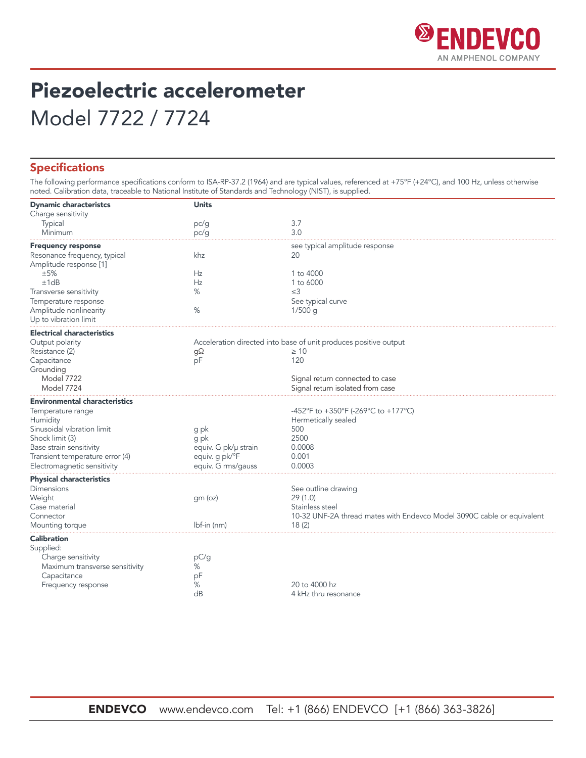

## Piezoelectric accelerometer Model 7722 / 7724

#### Specifications

The following performance specifications conform to ISA-RP-37.2 (1964) and are typical values, referenced at +75°F (+24°C), and 100 Hz, unless otherwise noted. Calibration data, traceable to National Institute of Standards and Technology (NIST), is supplied.

| <b>Dynamic characteristcs</b>        | <b>Units</b>                    |                                                                        |  |  |  |  |
|--------------------------------------|---------------------------------|------------------------------------------------------------------------|--|--|--|--|
| Charge sensitivity                   |                                 |                                                                        |  |  |  |  |
| Typical                              | pc/g                            | 3.7                                                                    |  |  |  |  |
| Minimum                              | pc/g                            | 3.0                                                                    |  |  |  |  |
| <b>Frequency response</b>            |                                 | see typical amplitude response                                         |  |  |  |  |
| Resonance frequency, typical         | khz                             | 20                                                                     |  |  |  |  |
| Amplitude response [1]               |                                 |                                                                        |  |  |  |  |
| ±5%                                  | Hz                              | $1$ to $4000$                                                          |  |  |  |  |
| ±1dB                                 | Hz                              | 1 to 6000                                                              |  |  |  |  |
| Transverse sensitivity               | %                               | $\leq$ 3                                                               |  |  |  |  |
| Temperature response                 |                                 | See typical curve                                                      |  |  |  |  |
| Amplitude nonlinearity               | %                               | $1/500$ q                                                              |  |  |  |  |
| Up to vibration limit                |                                 |                                                                        |  |  |  |  |
| <b>Electrical characteristics</b>    |                                 |                                                                        |  |  |  |  |
| Output polarity                      |                                 | Acceleration directed into base of unit produces positive output       |  |  |  |  |
| Resistance (2)                       | gΩ                              | $\geq 10$                                                              |  |  |  |  |
| Capacitance                          | pF                              | 120                                                                    |  |  |  |  |
| Grounding                            |                                 |                                                                        |  |  |  |  |
| <b>Model 7722</b>                    | Signal return connected to case |                                                                        |  |  |  |  |
| Model 7724                           |                                 | Signal return isolated from case                                       |  |  |  |  |
| <b>Environmental characteristics</b> |                                 |                                                                        |  |  |  |  |
| Temperature range                    |                                 | -452°F to +350°F (-269°C to +177°C)                                    |  |  |  |  |
| Humidity                             |                                 | Hermetically sealed                                                    |  |  |  |  |
| Sinusoidal vibration limit           | g pk                            | 500                                                                    |  |  |  |  |
| Shock limit (3)                      | g pk                            | 2500                                                                   |  |  |  |  |
| Base strain sensitivity              | equiv. G pk/µ strain            | 0.0008                                                                 |  |  |  |  |
| Transient temperature error (4)      | equiv. g pk/°F                  | 0.001                                                                  |  |  |  |  |
| Electromagnetic sensitivity          | equiv. G rms/gauss              | 0.0003                                                                 |  |  |  |  |
| <b>Physical characteristics</b>      |                                 |                                                                        |  |  |  |  |
| <b>Dimensions</b>                    |                                 | See outline drawing                                                    |  |  |  |  |
| Weight                               | gm (oz)                         | 29(1.0)                                                                |  |  |  |  |
| Case material                        |                                 | Stainless steel                                                        |  |  |  |  |
| Connector                            |                                 | 10-32 UNF-2A thread mates with Endevco Model 3090C cable or equivalent |  |  |  |  |
| Mounting torque                      | lbf-in (nm)                     | 18(2)                                                                  |  |  |  |  |
| <b>Calibration</b>                   |                                 |                                                                        |  |  |  |  |
| Supplied:                            |                                 |                                                                        |  |  |  |  |
| Charge sensitivity                   | pC/g                            |                                                                        |  |  |  |  |
| Maximum transverse sensitivity       | %                               |                                                                        |  |  |  |  |
| Capacitance                          | pF                              |                                                                        |  |  |  |  |
| Frequency response                   | %                               | 20 to 4000 hz                                                          |  |  |  |  |
|                                      | dB                              | 4 kHz thru resonance                                                   |  |  |  |  |